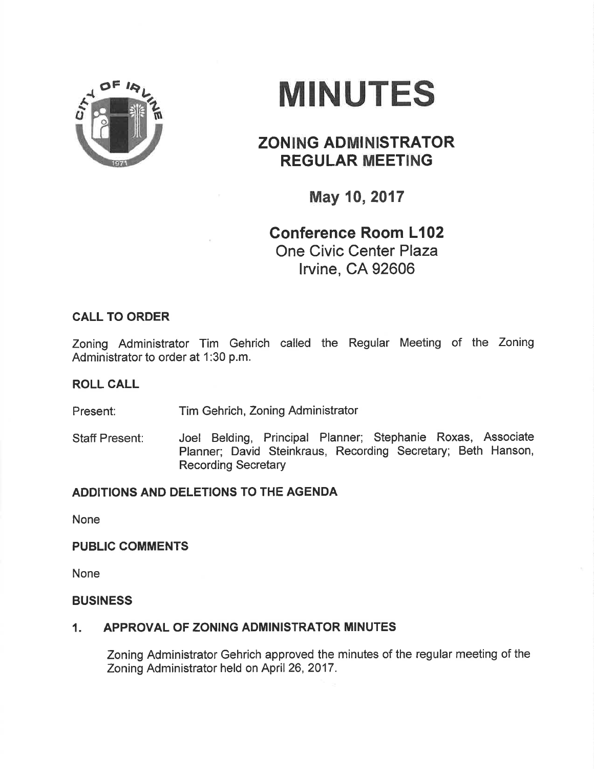

# MINUTES

# ZONING ADMINISTRATOR REGULAR MEETING

May 10,2017

# Gonference Room L102 One Civic Center Plaza lrvine, CA 92606

## CALL TO ORDER

Zoning Administrator Tim Gehrich called the Regular Meeting of the Zoning Administrator to order at 1:30 p.m.

### ROLL CALL

Present: Tim Gehrich, Zoning Administrator

Staff Present: Joel Belding, Principal Planner; Stephanie Roxas, Associate Planner; David Steinkraus, Recording Secretary; Beth Hanson, Recording Secretary

# ADDITIONS AND DELETIONS TO THE AGENDA

None

#### PUBLIC COMMENTS

None

#### **BUSINESS**

## 1. APPROVAL OF ZONING ADMINISTRATOR MINUTES

Zoning Administrator Gehrich approved the minutes of the regular meeting of the Zoning Administrator held on April 26,2017.